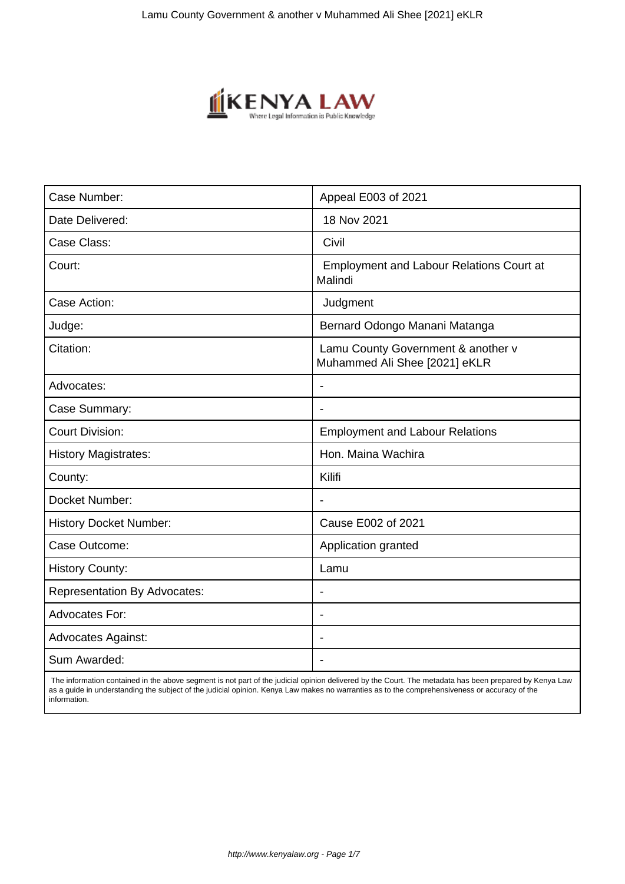

| Case Number:                        | Appeal E003 of 2021                                                 |
|-------------------------------------|---------------------------------------------------------------------|
| Date Delivered:                     | 18 Nov 2021                                                         |
| Case Class:                         | Civil                                                               |
| Court:                              | <b>Employment and Labour Relations Court at</b><br>Malindi          |
| Case Action:                        | Judgment                                                            |
| Judge:                              | Bernard Odongo Manani Matanga                                       |
| Citation:                           | Lamu County Government & another v<br>Muhammed Ali Shee [2021] eKLR |
| Advocates:                          |                                                                     |
| Case Summary:                       | $\overline{\phantom{0}}$                                            |
| <b>Court Division:</b>              | <b>Employment and Labour Relations</b>                              |
| <b>History Magistrates:</b>         | Hon. Maina Wachira                                                  |
| County:                             | Kilifi                                                              |
| Docket Number:                      | $\blacksquare$                                                      |
| <b>History Docket Number:</b>       | Cause E002 of 2021                                                  |
| Case Outcome:                       | Application granted                                                 |
| <b>History County:</b>              | Lamu                                                                |
| <b>Representation By Advocates:</b> |                                                                     |
| Advocates For:                      |                                                                     |
| <b>Advocates Against:</b>           |                                                                     |
| Sum Awarded:                        |                                                                     |

 The information contained in the above segment is not part of the judicial opinion delivered by the Court. The metadata has been prepared by Kenya Law as a guide in understanding the subject of the judicial opinion. Kenya Law makes no warranties as to the comprehensiveness or accuracy of the information.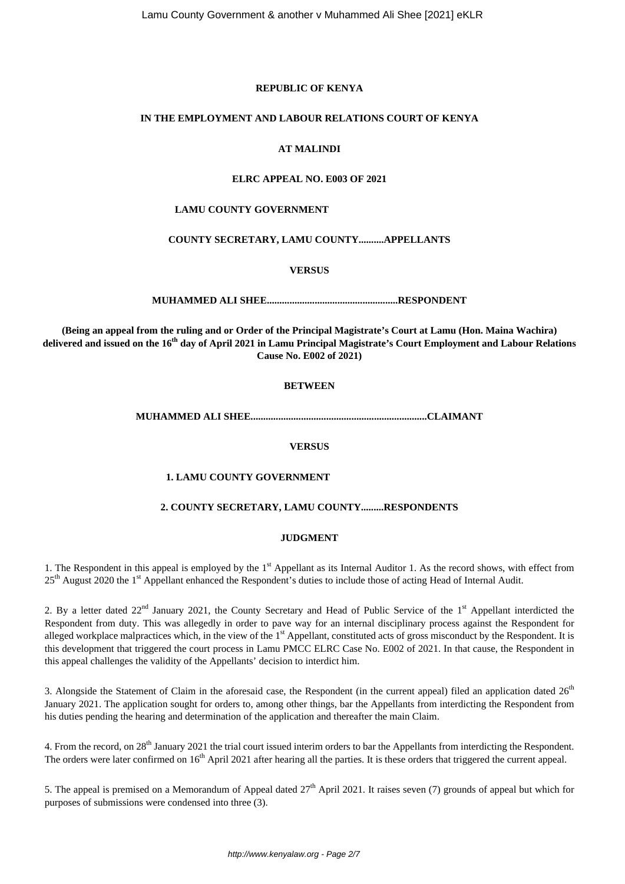# **REPUBLIC OF KENYA**

#### **IN THE EMPLOYMENT AND LABOUR RELATIONS COURT OF KENYA**

# **AT MALINDI**

# **ELRC APPEAL NO. E003 OF 2021**

#### **LAMU COUNTY GOVERNMENT**

### **COUNTY SECRETARY, LAMU COUNTY..........APPELLANTS**

#### **VERSUS**

**MUHAMMED ALI SHEE....................................................RESPONDENT**

**(Being an appeal from the ruling and or Order of the Principal Magistrate's Court at Lamu (Hon. Maina Wachira) delivered and issued on the 16th day of April 2021 in Lamu Principal Magistrate's Court Employment and Labour Relations Cause No. E002 of 2021)**

# **BETWEEN**

**MUHAMMED ALI SHEE......................................................................CLAIMANT**

# **VERSUS**

#### **1. LAMU COUNTY GOVERNMENT**

### **2. COUNTY SECRETARY, LAMU COUNTY.........RESPONDENTS**

#### **JUDGMENT**

1. The Respondent in this appeal is employed by the 1<sup>st</sup> Appellant as its Internal Auditor 1. As the record shows, with effect from 25<sup>th</sup> August 2020 the 1<sup>st</sup> Appellant enhanced the Respondent's duties to include those of acting Head of Internal Audit.

2. By a letter dated  $22<sup>nd</sup>$  January 2021, the County Secretary and Head of Public Service of the 1<sup>st</sup> Appellant interdicted the Respondent from duty. This was allegedly in order to pave way for an internal disciplinary process against the Respondent for alleged workplace malpractices which, in the view of the 1<sup>st</sup> Appellant, constituted acts of gross misconduct by the Respondent. It is this development that triggered the court process in Lamu PMCC ELRC Case No. E002 of 2021. In that cause, the Respondent in this appeal challenges the validity of the Appellants' decision to interdict him.

3. Alongside the Statement of Claim in the aforesaid case, the Respondent (in the current appeal) filed an application dated  $26<sup>th</sup>$ January 2021. The application sought for orders to, among other things, bar the Appellants from interdicting the Respondent from his duties pending the hearing and determination of the application and thereafter the main Claim.

4. From the record, on 28<sup>th</sup> January 2021 the trial court issued interim orders to bar the Appellants from interdicting the Respondent. The orders were later confirmed on 16<sup>th</sup> April 2021 after hearing all the parties. It is these orders that triggered the current appeal.

5. The appeal is premised on a Memorandum of Appeal dated  $27<sup>th</sup>$  April 2021. It raises seven (7) grounds of appeal but which for purposes of submissions were condensed into three (3).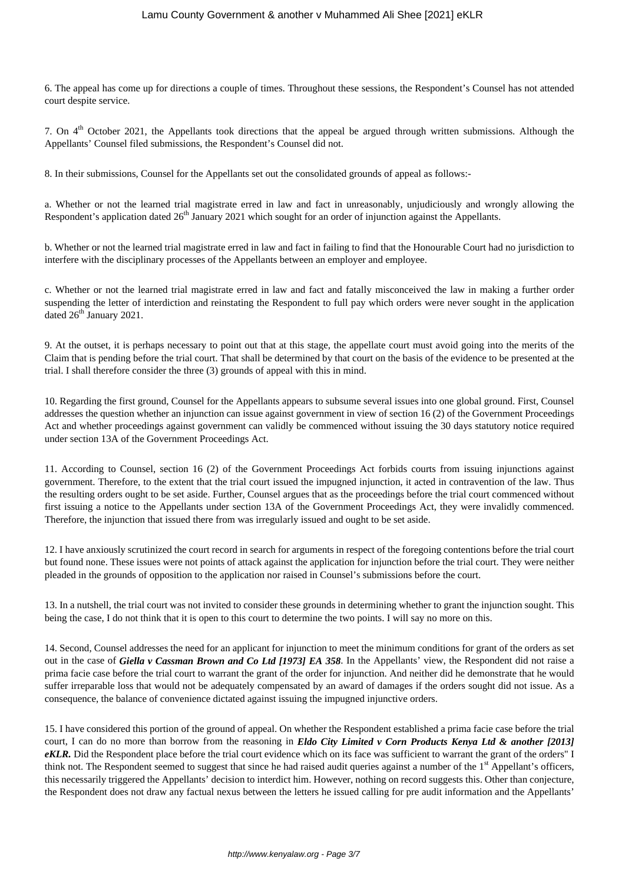6. The appeal has come up for directions a couple of times. Throughout these sessions, the Respondent's Counsel has not attended court despite service.

7. On 4<sup>th</sup> October 2021, the Appellants took directions that the appeal be argued through written submissions. Although the Appellants' Counsel filed submissions, the Respondent's Counsel did not.

8. In their submissions, Counsel for the Appellants set out the consolidated grounds of appeal as follows:-

a. Whether or not the learned trial magistrate erred in law and fact in unreasonably, unjudiciously and wrongly allowing the Respondent's application dated 26<sup>th</sup> January 2021 which sought for an order of injunction against the Appellants.

b. Whether or not the learned trial magistrate erred in law and fact in failing to find that the Honourable Court had no jurisdiction to interfere with the disciplinary processes of the Appellants between an employer and employee.

c. Whether or not the learned trial magistrate erred in law and fact and fatally misconceived the law in making a further order suspending the letter of interdiction and reinstating the Respondent to full pay which orders were never sought in the application dated 26<sup>th</sup> January 2021.

9. At the outset, it is perhaps necessary to point out that at this stage, the appellate court must avoid going into the merits of the Claim that is pending before the trial court. That shall be determined by that court on the basis of the evidence to be presented at the trial. I shall therefore consider the three (3) grounds of appeal with this in mind.

10. Regarding the first ground, Counsel for the Appellants appears to subsume several issues into one global ground. First, Counsel addresses the question whether an injunction can issue against government in view of section 16 (2) of the Government Proceedings Act and whether proceedings against government can validly be commenced without issuing the 30 days statutory notice required under section 13A of the Government Proceedings Act.

11. According to Counsel, section 16 (2) of the Government Proceedings Act forbids courts from issuing injunctions against government. Therefore, to the extent that the trial court issued the impugned injunction, it acted in contravention of the law. Thus the resulting orders ought to be set aside. Further, Counsel argues that as the proceedings before the trial court commenced without first issuing a notice to the Appellants under section 13A of the Government Proceedings Act, they were invalidly commenced. Therefore, the injunction that issued there from was irregularly issued and ought to be set aside.

12. I have anxiously scrutinized the court record in search for arguments in respect of the foregoing contentions before the trial court but found none. These issues were not points of attack against the application for injunction before the trial court. They were neither pleaded in the grounds of opposition to the application nor raised in Counsel's submissions before the court.

13. In a nutshell, the trial court was not invited to consider these grounds in determining whether to grant the injunction sought. This being the case, I do not think that it is open to this court to determine the two points. I will say no more on this.

14. Second, Counsel addresses the need for an applicant for injunction to meet the minimum conditions for grant of the orders as set out in the case of *Giella v Cassman Brown and Co Ltd [1973] EA 358*. In the Appellants' view, the Respondent did not raise a prima facie case before the trial court to warrant the grant of the order for injunction. And neither did he demonstrate that he would suffer irreparable loss that would not be adequately compensated by an award of damages if the orders sought did not issue. As a consequence, the balance of convenience dictated against issuing the impugned injunctive orders.

15. I have considered this portion of the ground of appeal. On whether the Respondent established a prima facie case before the trial court, I can do no more than borrow from the reasoning in *Eldo City Limited v Corn Products Kenya Ltd & another [2013] eKLR.* Did the Respondent place before the trial court evidence which on its face was sufficient to warrant the grant of the orders" I think not. The Respondent seemed to suggest that since he had raised audit queries against a number of the 1<sup>st</sup> Appellant's officers, this necessarily triggered the Appellants' decision to interdict him. However, nothing on record suggests this. Other than conjecture, the Respondent does not draw any factual nexus between the letters he issued calling for pre audit information and the Appellants'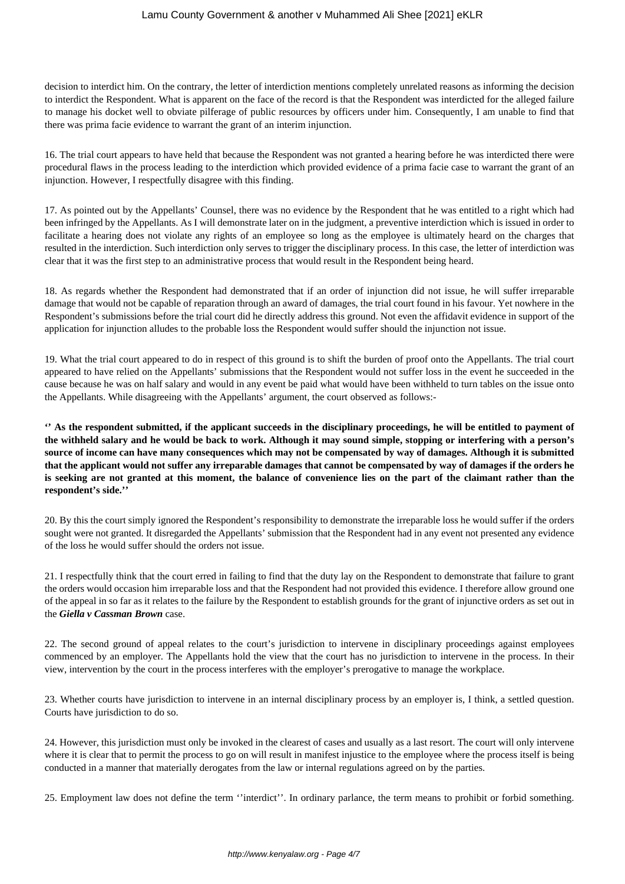decision to interdict him. On the contrary, the letter of interdiction mentions completely unrelated reasons as informing the decision to interdict the Respondent. What is apparent on the face of the record is that the Respondent was interdicted for the alleged failure to manage his docket well to obviate pilferage of public resources by officers under him. Consequently, I am unable to find that there was prima facie evidence to warrant the grant of an interim injunction.

16. The trial court appears to have held that because the Respondent was not granted a hearing before he was interdicted there were procedural flaws in the process leading to the interdiction which provided evidence of a prima facie case to warrant the grant of an injunction. However, I respectfully disagree with this finding.

17. As pointed out by the Appellants' Counsel, there was no evidence by the Respondent that he was entitled to a right which had been infringed by the Appellants. As I will demonstrate later on in the judgment, a preventive interdiction which is issued in order to facilitate a hearing does not violate any rights of an employee so long as the employee is ultimately heard on the charges that resulted in the interdiction. Such interdiction only serves to trigger the disciplinary process. In this case, the letter of interdiction was clear that it was the first step to an administrative process that would result in the Respondent being heard.

18. As regards whether the Respondent had demonstrated that if an order of injunction did not issue, he will suffer irreparable damage that would not be capable of reparation through an award of damages, the trial court found in his favour. Yet nowhere in the Respondent's submissions before the trial court did he directly address this ground. Not even the affidavit evidence in support of the application for injunction alludes to the probable loss the Respondent would suffer should the injunction not issue.

19. What the trial court appeared to do in respect of this ground is to shift the burden of proof onto the Appellants. The trial court appeared to have relied on the Appellants' submissions that the Respondent would not suffer loss in the event he succeeded in the cause because he was on half salary and would in any event be paid what would have been withheld to turn tables on the issue onto the Appellants. While disagreeing with the Appellants' argument, the court observed as follows:-

**'' As the respondent submitted, if the applicant succeeds in the disciplinary proceedings, he will be entitled to payment of the withheld salary and he would be back to work. Although it may sound simple, stopping or interfering with a person's source of income can have many consequences which may not be compensated by way of damages. Although it is submitted that the applicant would not suffer any irreparable damages that cannot be compensated by way of damages if the orders he is seeking are not granted at this moment, the balance of convenience lies on the part of the claimant rather than the respondent's side.''**

20. By this the court simply ignored the Respondent's responsibility to demonstrate the irreparable loss he would suffer if the orders sought were not granted. It disregarded the Appellants' submission that the Respondent had in any event not presented any evidence of the loss he would suffer should the orders not issue.

21. I respectfully think that the court erred in failing to find that the duty lay on the Respondent to demonstrate that failure to grant the orders would occasion him irreparable loss and that the Respondent had not provided this evidence. I therefore allow ground one of the appeal in so far as it relates to the failure by the Respondent to establish grounds for the grant of injunctive orders as set out in the *Giella v Cassman Brown* case.

22. The second ground of appeal relates to the court's jurisdiction to intervene in disciplinary proceedings against employees commenced by an employer. The Appellants hold the view that the court has no jurisdiction to intervene in the process. In their view, intervention by the court in the process interferes with the employer's prerogative to manage the workplace.

23. Whether courts have jurisdiction to intervene in an internal disciplinary process by an employer is, I think, a settled question. Courts have jurisdiction to do so.

24. However, this jurisdiction must only be invoked in the clearest of cases and usually as a last resort. The court will only intervene where it is clear that to permit the process to go on will result in manifest injustice to the employee where the process itself is being conducted in a manner that materially derogates from the law or internal regulations agreed on by the parties.

25. Employment law does not define the term ''interdict''. In ordinary parlance, the term means to prohibit or forbid something.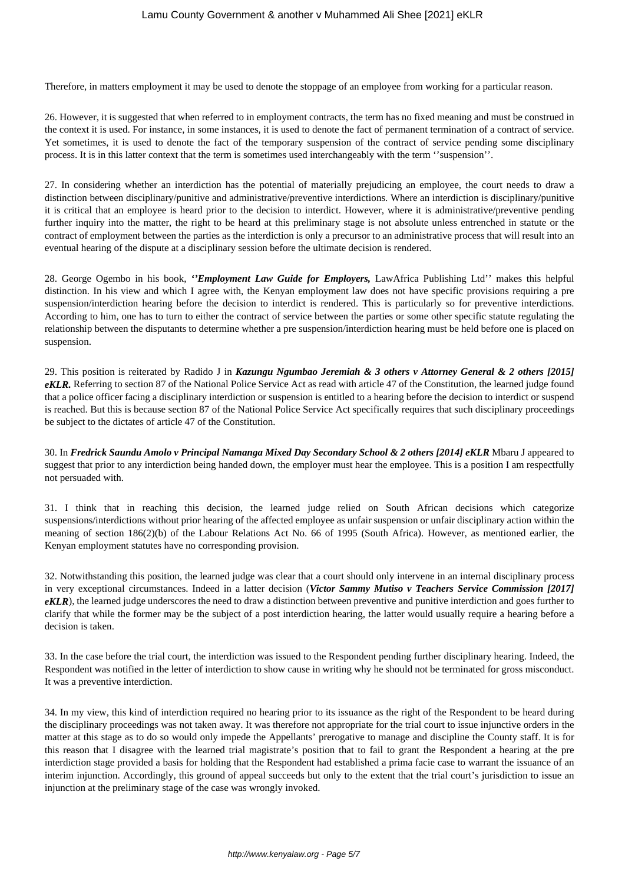Therefore, in matters employment it may be used to denote the stoppage of an employee from working for a particular reason.

26. However, it is suggested that when referred to in employment contracts, the term has no fixed meaning and must be construed in the context it is used. For instance, in some instances, it is used to denote the fact of permanent termination of a contract of service. Yet sometimes, it is used to denote the fact of the temporary suspension of the contract of service pending some disciplinary process. It is in this latter context that the term is sometimes used interchangeably with the term ''suspension''.

27. In considering whether an interdiction has the potential of materially prejudicing an employee, the court needs to draw a distinction between disciplinary/punitive and administrative/preventive interdictions. Where an interdiction is disciplinary/punitive it is critical that an employee is heard prior to the decision to interdict. However, where it is administrative/preventive pending further inquiry into the matter, the right to be heard at this preliminary stage is not absolute unless entrenched in statute or the contract of employment between the parties as the interdiction is only a precursor to an administrative process that will result into an eventual hearing of the dispute at a disciplinary session before the ultimate decision is rendered.

28. George Ogembo in his book, *''Employment Law Guide for Employers,* LawAfrica Publishing Ltd'' makes this helpful distinction. In his view and which I agree with, the Kenyan employment law does not have specific provisions requiring a pre suspension/interdiction hearing before the decision to interdict is rendered. This is particularly so for preventive interdictions. According to him, one has to turn to either the contract of service between the parties or some other specific statute regulating the relationship between the disputants to determine whether a pre suspension/interdiction hearing must be held before one is placed on suspension.

29. This position is reiterated by Radido J in *Kazungu Ngumbao Jeremiah & 3 others v Attorney General & 2 others [2015] eKLR.* Referring to section 87 of the National Police Service Act as read with article 47 of the Constitution, the learned judge found that a police officer facing a disciplinary interdiction or suspension is entitled to a hearing before the decision to interdict or suspend is reached. But this is because section 87 of the National Police Service Act specifically requires that such disciplinary proceedings be subject to the dictates of article 47 of the Constitution.

30. In *Fredrick Saundu Amolo v Principal Namanga Mixed Day Secondary School & 2 others [2014] eKLR* Mbaru J appeared to suggest that prior to any interdiction being handed down, the employer must hear the employee. This is a position I am respectfully not persuaded with.

31. I think that in reaching this decision, the learned judge relied on South African decisions which categorize suspensions/interdictions without prior hearing of the affected employee as unfair suspension or unfair disciplinary action within the meaning of section 186(2)(b) of the Labour Relations Act No. 66 of 1995 (South Africa). However, as mentioned earlier, the Kenyan employment statutes have no corresponding provision.

32. Notwithstanding this position, the learned judge was clear that a court should only intervene in an internal disciplinary process in very exceptional circumstances. Indeed in a latter decision (*Victor Sammy Mutiso v Teachers Service Commission [2017] eKLR*), the learned judge underscores the need to draw a distinction between preventive and punitive interdiction and goes further to clarify that while the former may be the subject of a post interdiction hearing, the latter would usually require a hearing before a decision is taken.

33. In the case before the trial court, the interdiction was issued to the Respondent pending further disciplinary hearing. Indeed, the Respondent was notified in the letter of interdiction to show cause in writing why he should not be terminated for gross misconduct. It was a preventive interdiction.

34. In my view, this kind of interdiction required no hearing prior to its issuance as the right of the Respondent to be heard during the disciplinary proceedings was not taken away. It was therefore not appropriate for the trial court to issue injunctive orders in the matter at this stage as to do so would only impede the Appellants' prerogative to manage and discipline the County staff. It is for this reason that I disagree with the learned trial magistrate's position that to fail to grant the Respondent a hearing at the pre interdiction stage provided a basis for holding that the Respondent had established a prima facie case to warrant the issuance of an interim injunction. Accordingly, this ground of appeal succeeds but only to the extent that the trial court's jurisdiction to issue an injunction at the preliminary stage of the case was wrongly invoked.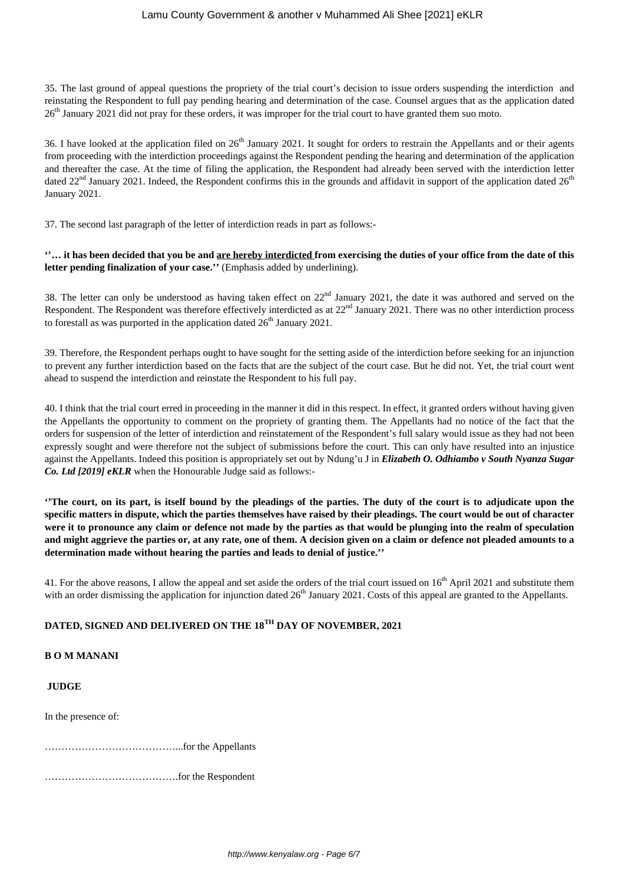35. The last ground of appeal questions the propriety of the trial court's decision to issue orders suspending the interdiction and reinstating the Respondent to full pay pending hearing and determination of the case. Counsel argues that as the application dated 26<sup>th</sup> January 2021 did not pray for these orders, it was improper for the trial court to have granted them suo moto.

36. I have looked at the application filed on  $26<sup>th</sup>$  January 2021. It sought for orders to restrain the Appellants and or their agents from proceeding with the interdiction proceedings against the Respondent pending the hearing and determination of the application and thereafter the case. At the time of filing the application, the Respondent had already been served with the interdiction letter dated  $22<sup>nd</sup>$  January 2021. Indeed, the Respondent confirms this in the grounds and affidavit in support of the application dated  $26<sup>th</sup>$ January 2021.

37. The second last paragraph of the letter of interdiction reads in part as follows:-

**''… it has been decided that you be and are hereby interdicted from exercising the duties of your office from the date of this letter pending finalization of your case.''** (Emphasis added by underlining).

38. The letter can only be understood as having taken effect on  $22<sup>nd</sup>$  January 2021, the date it was authored and served on the Respondent. The Respondent was therefore effectively interdicted as at 22<sup>nd</sup> January 2021. There was no other interdiction process to forestall as was purported in the application dated  $26<sup>th</sup>$  January 2021.

39. Therefore, the Respondent perhaps ought to have sought for the setting aside of the interdiction before seeking for an injunction to prevent any further interdiction based on the facts that are the subject of the court case. But he did not. Yet, the trial court went ahead to suspend the interdiction and reinstate the Respondent to his full pay.

40. I think that the trial court erred in proceeding in the manner it did in this respect. In effect, it granted orders without having given the Appellants the opportunity to comment on the propriety of granting them. The Appellants had no notice of the fact that the orders for suspension of the letter of interdiction and reinstatement of the Respondent's full salary would issue as they had not been expressly sought and were therefore not the subject of submissions before the court. This can only have resulted into an injustice against the Appellants. Indeed this position is appropriately set out by Ndung'u J in *Elizabeth O. Odhiambo v South Nyanza Sugar Co. Ltd [2019] eKLR* when the Honourable Judge said as follows:-

**''The court, on its part, is itself bound by the pleadings of the parties. The duty of the court is to adjudicate upon the specific matters in dispute, which the parties themselves have raised by their pleadings. The court would be out of character were it to pronounce any claim or defence not made by the parties as that would be plunging into the realm of speculation and might aggrieve the parties or, at any rate, one of them. A decision given on a claim or defence not pleaded amounts to a determination made without hearing the parties and leads to denial of justice.''**

41. For the above reasons, I allow the appeal and set aside the orders of the trial court issued on 16<sup>th</sup> April 2021 and substitute them with an order dismissing the application for injunction dated  $26<sup>th</sup>$  January 2021. Costs of this appeal are granted to the Appellants.

# **DATED, SIGNED AND DELIVERED ON THE 18TH DAY OF NOVEMBER, 2021**

# **B O M MANANI**

# **JUDGE**

In the presence of:

…………………………………...for the Appellants

………………………………….for the Respondent